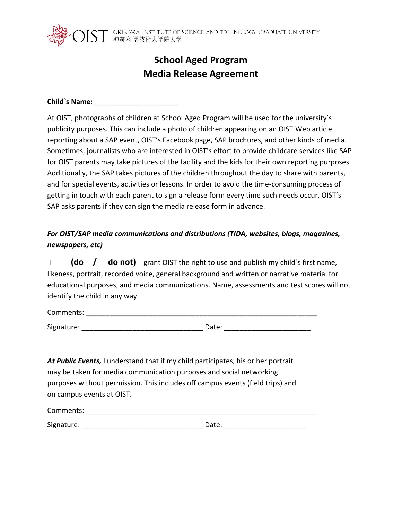

 $\text{ST}^\circ$  okinawa institute of science and technology graduate university

# **School Aged Program Media Release Agreement**

**Child`s Name:\_\_\_\_\_\_\_\_\_\_\_\_\_\_\_\_\_\_\_\_\_\_**

At OIST, photographs of children at School Aged Program will be used for the university's publicity purposes. This can include a photo of children appearing on an OIST Web article reporting about a SAP event, OIST's Facebook page, SAP brochures, and other kinds of media. Sometimes, journalists who are interested in OIST's effort to provide childcare services like SAP for OIST parents may take pictures of the facility and the kids for their own reporting purposes. Additionally, the SAP takes pictures of the children throughout the day to share with parents, and for special events, activities or lessons. In order to avoid the time-consuming process of getting in touch with each parent to sign a release form every time such needs occur, OIST's SAP asks parents if they can sign the media release form in advance.

#### *For OIST/SAP media communications and distributions (TIDA, websites, blogs, magazines, newspapers, etc)*

I **(do / do not)** grant OIST the right to use and publish my child`s first name, likeness, portrait, recorded voice, general background and written or narrative material for educational purposes, and media communications. Name, assessments and test scores will not identify the child in any way.

Comments: \_\_\_\_\_\_\_\_\_\_\_\_\_\_\_\_\_\_\_\_\_\_\_\_\_\_\_\_\_\_\_\_\_\_\_\_\_\_\_\_\_\_\_\_\_\_\_\_\_\_\_\_\_\_\_\_\_\_\_

Signature: \_\_\_\_\_\_\_\_\_\_\_\_\_\_\_\_\_\_\_\_\_\_\_\_\_\_\_\_\_\_\_ Date: \_\_\_\_\_\_\_\_\_\_\_\_\_\_\_\_\_\_\_\_\_\_

*At Public Events,* I understand that if my child participates, his or her portrait may be taken for media communication purposes and social networking purposes without permission. This includes off campus events (field trips) and on campus events at OIST.

| Comments:  |       |
|------------|-------|
|            |       |
| Signature: | Date: |